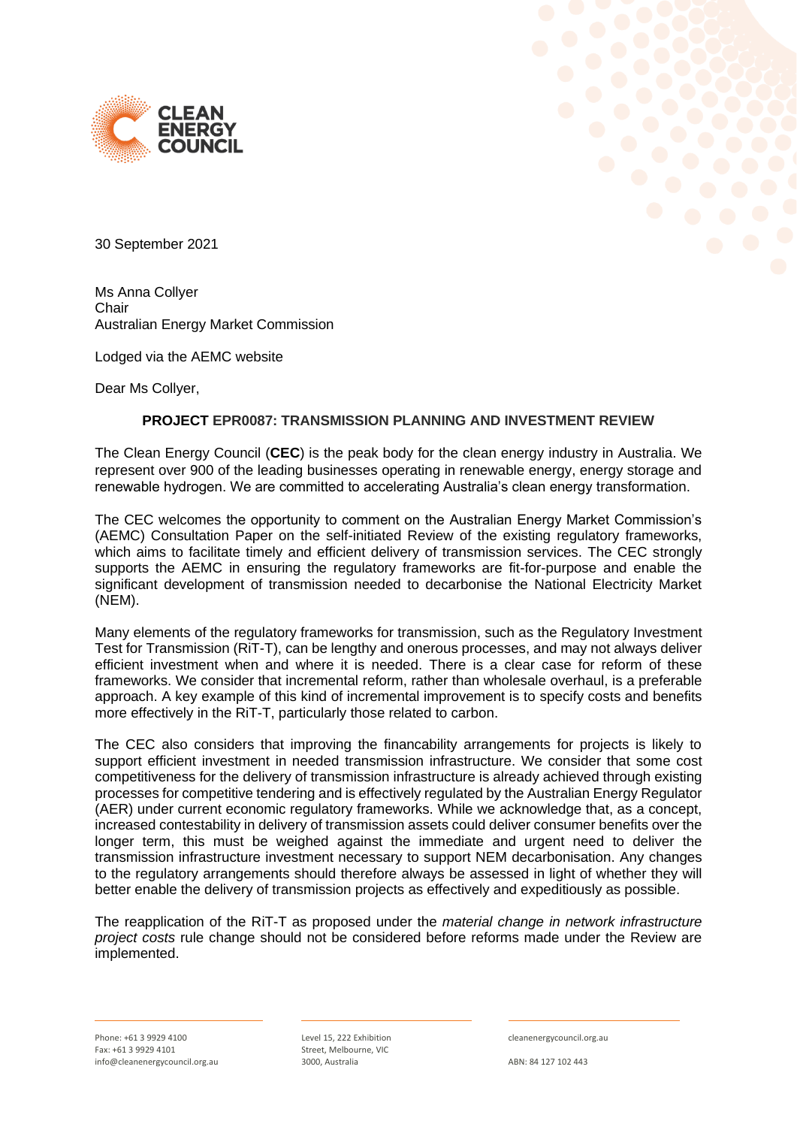



30 September 2021

Ms Anna Collyer **Chair** Australian Energy Market Commission

Lodged via the AEMC website

Dear Ms Collyer,

# **PROJECT EPR0087: TRANSMISSION PLANNING AND INVESTMENT REVIEW**

The Clean Energy Council (**CEC**) is the peak body for the clean energy industry in Australia. We represent over 900 of the leading businesses operating in renewable energy, energy storage and renewable hydrogen. We are committed to accelerating Australia's clean energy transformation.

The CEC welcomes the opportunity to comment on the Australian Energy Market Commission's (AEMC) Consultation Paper on the self-initiated Review of the existing regulatory frameworks, which aims to facilitate timely and efficient delivery of transmission services. The CEC strongly supports the AEMC in ensuring the regulatory frameworks are fit-for-purpose and enable the significant development of transmission needed to decarbonise the National Electricity Market (NEM).

Many elements of the regulatory frameworks for transmission, such as the Regulatory Investment Test for Transmission (RiT-T), can be lengthy and onerous processes, and may not always deliver efficient investment when and where it is needed. There is a clear case for reform of these frameworks. We consider that incremental reform, rather than wholesale overhaul, is a preferable approach. A key example of this kind of incremental improvement is to specify costs and benefits more effectively in the RiT-T, particularly those related to carbon.

The CEC also considers that improving the financability arrangements for projects is likely to support efficient investment in needed transmission infrastructure. We consider that some cost competitiveness for the delivery of transmission infrastructure is already achieved through existing processes for competitive tendering and is effectively regulated by the Australian Energy Regulator (AER) under current economic regulatory frameworks. While we acknowledge that, as a concept, increased contestability in delivery of transmission assets could deliver consumer benefits over the longer term, this must be weighed against the immediate and urgent need to deliver the transmission infrastructure investment necessary to support NEM decarbonisation. Any changes to the regulatory arrangements should therefore always be assessed in light of whether they will better enable the delivery of transmission projects as effectively and expeditiously as possible.

The reapplication of the RiT-T as proposed under the *material change in network infrastructure project costs* rule change should not be considered before reforms made under the Review are implemented.

Level 15, 222 Exhibition Street, Melbourne, VIC 3000, Australia

cleanenergycouncil.org.au

ABN: 84 127 102 443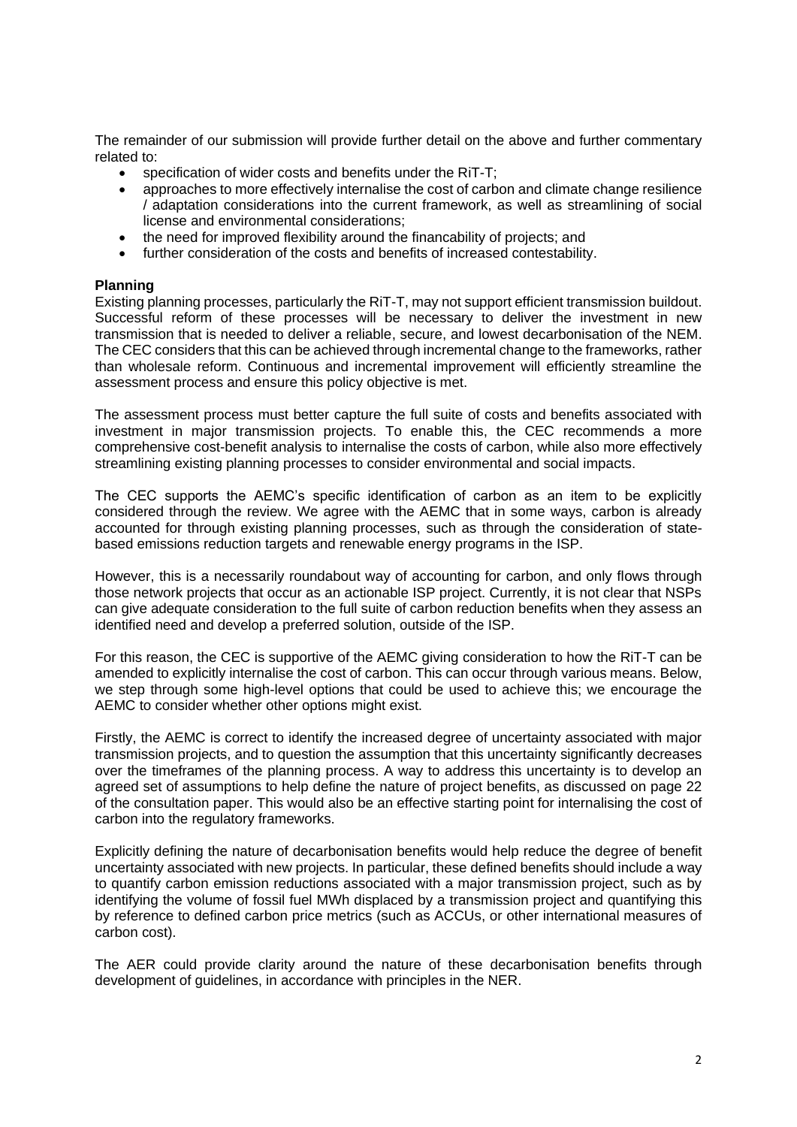The remainder of our submission will provide further detail on the above and further commentary related to:

- specification of wider costs and benefits under the RIT-T:
- approaches to more effectively internalise the cost of carbon and climate change resilience / adaptation considerations into the current framework, as well as streamlining of social license and environmental considerations;
- the need for improved flexibility around the financability of projects: and
- further consideration of the costs and benefits of increased contestability.

## **Planning**

Existing planning processes, particularly the RiT-T, may not support efficient transmission buildout. Successful reform of these processes will be necessary to deliver the investment in new transmission that is needed to deliver a reliable, secure, and lowest decarbonisation of the NEM. The CEC considers that this can be achieved through incremental change to the frameworks, rather than wholesale reform. Continuous and incremental improvement will efficiently streamline the assessment process and ensure this policy objective is met.

The assessment process must better capture the full suite of costs and benefits associated with investment in major transmission projects. To enable this, the CEC recommends a more comprehensive cost-benefit analysis to internalise the costs of carbon, while also more effectively streamlining existing planning processes to consider environmental and social impacts.

The CEC supports the AEMC's specific identification of carbon as an item to be explicitly considered through the review. We agree with the AEMC that in some ways, carbon is already accounted for through existing planning processes, such as through the consideration of statebased emissions reduction targets and renewable energy programs in the ISP.

However, this is a necessarily roundabout way of accounting for carbon, and only flows through those network projects that occur as an actionable ISP project. Currently, it is not clear that NSPs can give adequate consideration to the full suite of carbon reduction benefits when they assess an identified need and develop a preferred solution, outside of the ISP.

For this reason, the CEC is supportive of the AEMC giving consideration to how the RiT-T can be amended to explicitly internalise the cost of carbon. This can occur through various means. Below, we step through some high-level options that could be used to achieve this; we encourage the AEMC to consider whether other options might exist.

Firstly, the AEMC is correct to identify the increased degree of uncertainty associated with major transmission projects, and to question the assumption that this uncertainty significantly decreases over the timeframes of the planning process. A way to address this uncertainty is to develop an agreed set of assumptions to help define the nature of project benefits, as discussed on page 22 of the consultation paper. This would also be an effective starting point for internalising the cost of carbon into the regulatory frameworks.

Explicitly defining the nature of decarbonisation benefits would help reduce the degree of benefit uncertainty associated with new projects. In particular, these defined benefits should include a way to quantify carbon emission reductions associated with a major transmission project, such as by identifying the volume of fossil fuel MWh displaced by a transmission project and quantifying this by reference to defined carbon price metrics (such as ACCUs, or other international measures of carbon cost).

The AER could provide clarity around the nature of these decarbonisation benefits through development of guidelines, in accordance with principles in the NER.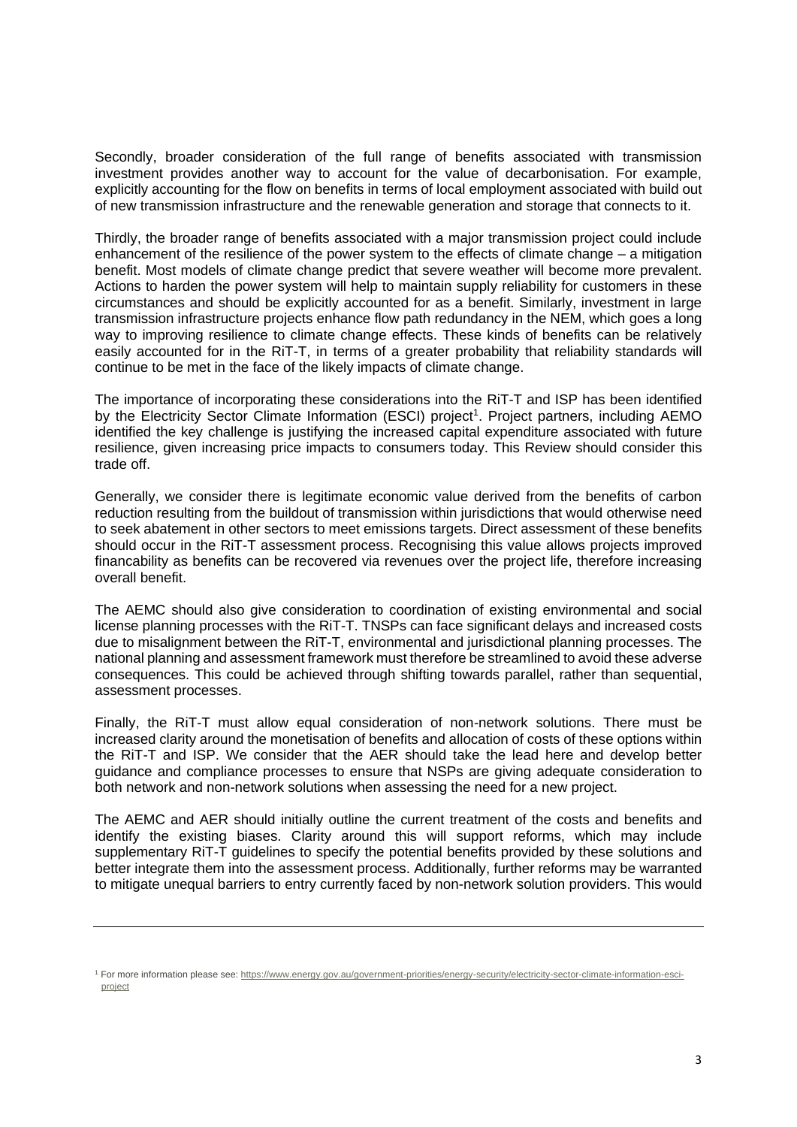Secondly, broader consideration of the full range of benefits associated with transmission investment provides another way to account for the value of decarbonisation. For example, explicitly accounting for the flow on benefits in terms of local employment associated with build out of new transmission infrastructure and the renewable generation and storage that connects to it.

Thirdly, the broader range of benefits associated with a major transmission project could include enhancement of the resilience of the power system to the effects of climate change – a mitigation benefit. Most models of climate change predict that severe weather will become more prevalent. Actions to harden the power system will help to maintain supply reliability for customers in these circumstances and should be explicitly accounted for as a benefit. Similarly, investment in large transmission infrastructure projects enhance flow path redundancy in the NEM, which goes a long way to improving resilience to climate change effects. These kinds of benefits can be relatively easily accounted for in the RiT-T, in terms of a greater probability that reliability standards will continue to be met in the face of the likely impacts of climate change.

The importance of incorporating these considerations into the RiT-T and ISP has been identified by the Electricity Sector Climate Information (ESCI) project<sup>1</sup>. Project partners, including AEMO identified the key challenge is justifying the increased capital expenditure associated with future resilience, given increasing price impacts to consumers today. This Review should consider this trade off.

Generally, we consider there is legitimate economic value derived from the benefits of carbon reduction resulting from the buildout of transmission within jurisdictions that would otherwise need to seek abatement in other sectors to meet emissions targets. Direct assessment of these benefits should occur in the RiT-T assessment process. Recognising this value allows projects improved financability as benefits can be recovered via revenues over the project life, therefore increasing overall benefit.

The AEMC should also give consideration to coordination of existing environmental and social license planning processes with the RiT-T. TNSPs can face significant delays and increased costs due to misalignment between the RiT-T, environmental and jurisdictional planning processes. The national planning and assessment framework must therefore be streamlined to avoid these adverse consequences. This could be achieved through shifting towards parallel, rather than sequential, assessment processes.

Finally, the RiT-T must allow equal consideration of non-network solutions. There must be increased clarity around the monetisation of benefits and allocation of costs of these options within the RiT-T and ISP. We consider that the AER should take the lead here and develop better guidance and compliance processes to ensure that NSPs are giving adequate consideration to both network and non-network solutions when assessing the need for a new project.

The AEMC and AER should initially outline the current treatment of the costs and benefits and identify the existing biases. Clarity around this will support reforms, which may include supplementary RiT-T guidelines to specify the potential benefits provided by these solutions and better integrate them into the assessment process. Additionally, further reforms may be warranted to mitigate unequal barriers to entry currently faced by non-network solution providers. This would

<sup>1</sup> For more information please see: [https://www.energy.gov.au/government-priorities/energy-security/electricity-sector-climate-information-esci](https://www.energy.gov.au/government-priorities/energy-security/electricity-sector-climate-information-esci-project)[project](https://www.energy.gov.au/government-priorities/energy-security/electricity-sector-climate-information-esci-project)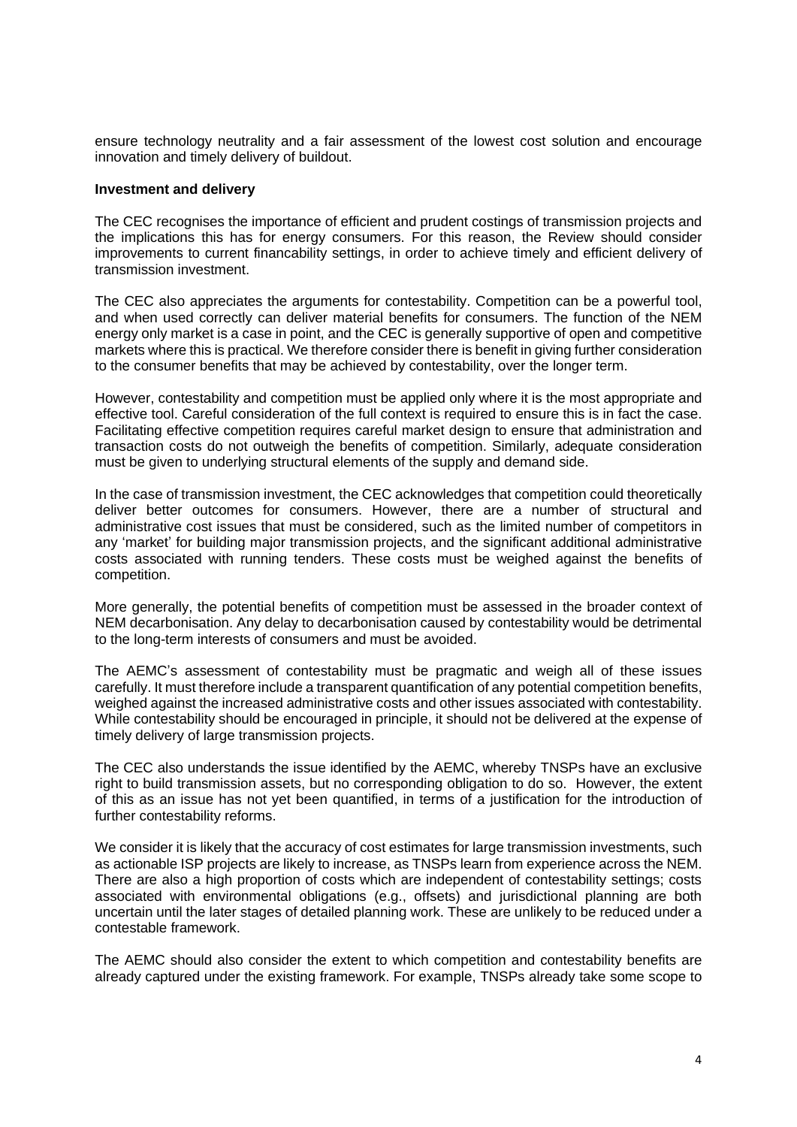ensure technology neutrality and a fair assessment of the lowest cost solution and encourage innovation and timely delivery of buildout.

## **Investment and delivery**

The CEC recognises the importance of efficient and prudent costings of transmission projects and the implications this has for energy consumers. For this reason, the Review should consider improvements to current financability settings, in order to achieve timely and efficient delivery of transmission investment.

The CEC also appreciates the arguments for contestability. Competition can be a powerful tool, and when used correctly can deliver material benefits for consumers. The function of the NEM energy only market is a case in point, and the CEC is generally supportive of open and competitive markets where this is practical. We therefore consider there is benefit in giving further consideration to the consumer benefits that may be achieved by contestability, over the longer term.

However, contestability and competition must be applied only where it is the most appropriate and effective tool. Careful consideration of the full context is required to ensure this is in fact the case. Facilitating effective competition requires careful market design to ensure that administration and transaction costs do not outweigh the benefits of competition. Similarly, adequate consideration must be given to underlying structural elements of the supply and demand side.

In the case of transmission investment, the CEC acknowledges that competition could theoretically deliver better outcomes for consumers. However, there are a number of structural and administrative cost issues that must be considered, such as the limited number of competitors in any 'market' for building major transmission projects, and the significant additional administrative costs associated with running tenders. These costs must be weighed against the benefits of competition.

More generally, the potential benefits of competition must be assessed in the broader context of NEM decarbonisation. Any delay to decarbonisation caused by contestability would be detrimental to the long-term interests of consumers and must be avoided.

The AEMC's assessment of contestability must be pragmatic and weigh all of these issues carefully. It must therefore include a transparent quantification of any potential competition benefits, weighed against the increased administrative costs and other issues associated with contestability. While contestability should be encouraged in principle, it should not be delivered at the expense of timely delivery of large transmission projects.

The CEC also understands the issue identified by the AEMC, whereby TNSPs have an exclusive right to build transmission assets, but no corresponding obligation to do so. However, the extent of this as an issue has not yet been quantified, in terms of a justification for the introduction of further contestability reforms.

We consider it is likely that the accuracy of cost estimates for large transmission investments, such as actionable ISP projects are likely to increase, as TNSPs learn from experience across the NEM. There are also a high proportion of costs which are independent of contestability settings; costs associated with environmental obligations (e.g., offsets) and jurisdictional planning are both uncertain until the later stages of detailed planning work. These are unlikely to be reduced under a contestable framework.

The AEMC should also consider the extent to which competition and contestability benefits are already captured under the existing framework. For example, TNSPs already take some scope to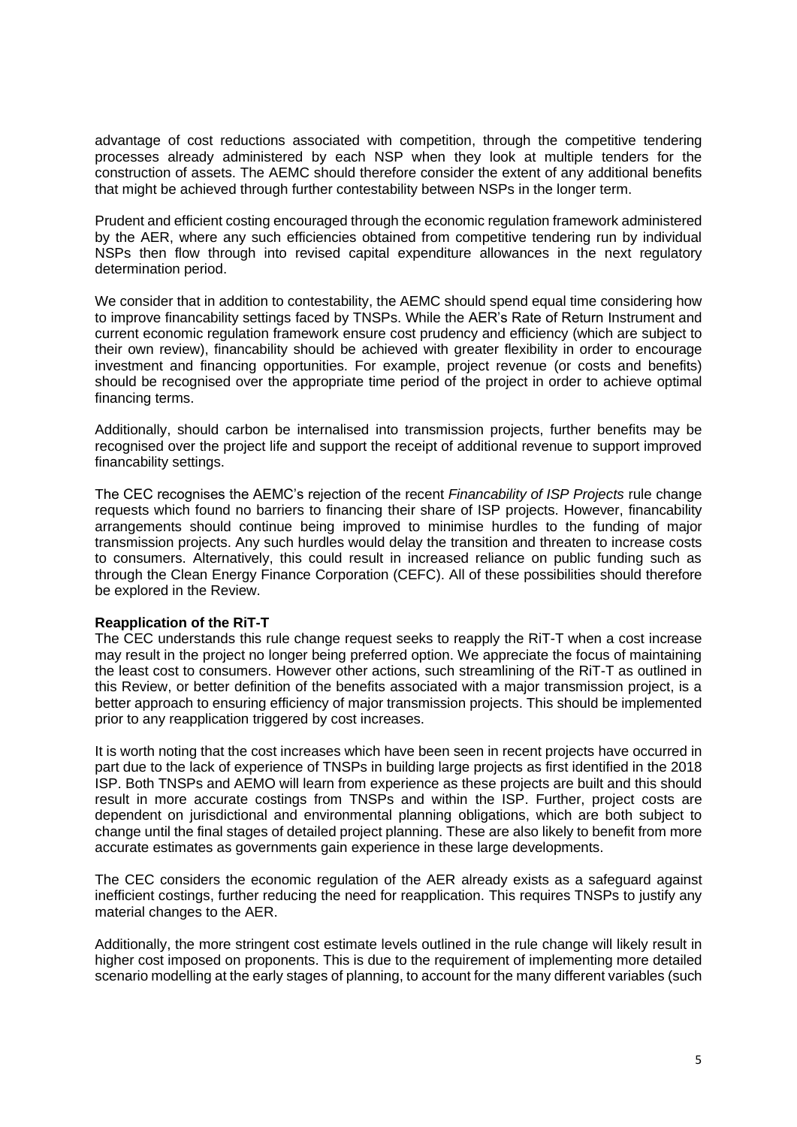advantage of cost reductions associated with competition, through the competitive tendering processes already administered by each NSP when they look at multiple tenders for the construction of assets. The AEMC should therefore consider the extent of any additional benefits that might be achieved through further contestability between NSPs in the longer term.

Prudent and efficient costing encouraged through the economic regulation framework administered by the AER, where any such efficiencies obtained from competitive tendering run by individual NSPs then flow through into revised capital expenditure allowances in the next regulatory determination period.

We consider that in addition to contestability, the AEMC should spend equal time considering how to improve financability settings faced by TNSPs. While the AER's Rate of Return Instrument and current economic regulation framework ensure cost prudency and efficiency (which are subject to their own review), financability should be achieved with greater flexibility in order to encourage investment and financing opportunities. For example, project revenue (or costs and benefits) should be recognised over the appropriate time period of the project in order to achieve optimal financing terms.

Additionally, should carbon be internalised into transmission projects, further benefits may be recognised over the project life and support the receipt of additional revenue to support improved financability settings.

The CEC recognises the AEMC's rejection of the recent *Financability of ISP Projects* rule change requests which found no barriers to financing their share of ISP projects. However, financability arrangements should continue being improved to minimise hurdles to the funding of major transmission projects. Any such hurdles would delay the transition and threaten to increase costs to consumers. Alternatively, this could result in increased reliance on public funding such as through the Clean Energy Finance Corporation (CEFC). All of these possibilities should therefore be explored in the Review.

# **Reapplication of the RiT-T**

The CEC understands this rule change request seeks to reapply the RiT-T when a cost increase may result in the project no longer being preferred option. We appreciate the focus of maintaining the least cost to consumers. However other actions, such streamlining of the RiT-T as outlined in this Review, or better definition of the benefits associated with a major transmission project, is a better approach to ensuring efficiency of major transmission projects. This should be implemented prior to any reapplication triggered by cost increases.

It is worth noting that the cost increases which have been seen in recent projects have occurred in part due to the lack of experience of TNSPs in building large projects as first identified in the 2018 ISP. Both TNSPs and AEMO will learn from experience as these projects are built and this should result in more accurate costings from TNSPs and within the ISP. Further, project costs are dependent on jurisdictional and environmental planning obligations, which are both subject to change until the final stages of detailed project planning. These are also likely to benefit from more accurate estimates as governments gain experience in these large developments.

The CEC considers the economic regulation of the AER already exists as a safeguard against inefficient costings, further reducing the need for reapplication. This requires TNSPs to justify any material changes to the AER.

Additionally, the more stringent cost estimate levels outlined in the rule change will likely result in higher cost imposed on proponents. This is due to the requirement of implementing more detailed scenario modelling at the early stages of planning, to account for the many different variables (such